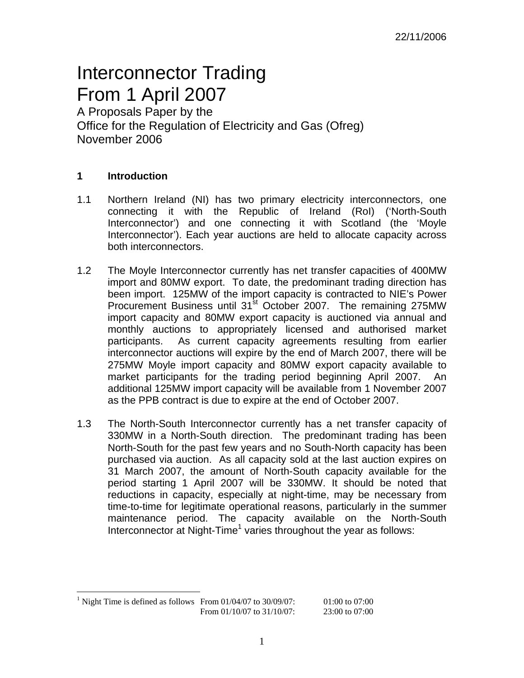# Interconnector Trading From 1 April 2007

A Proposals Paper by the Office for the Regulation of Electricity and Gas (Ofreg) November 2006

# **1 Introduction**

- 1.1 Northern Ireland (NI) has two primary electricity interconnectors, one connecting it with the Republic of Ireland (RoI) ('North-South Interconnector') and one connecting it with Scotland (the 'Moyle Interconnector'). Each year auctions are held to allocate capacity across both interconnectors.
- 1.2 The Moyle Interconnector currently has net transfer capacities of 400MW import and 80MW export. To date, the predominant trading direction has been import. 125MW of the import capacity is contracted to NIE's Power Procurement Business until 31<sup>st</sup> October 2007. The remaining 275MW import capacity and 80MW export capacity is auctioned via annual and monthly auctions to appropriately licensed and authorised market participants. As current capacity agreements resulting from earlier interconnector auctions will expire by the end of March 2007, there will be 275MW Moyle import capacity and 80MW export capacity available to market participants for the trading period beginning April 2007. An additional 125MW import capacity will be available from 1 November 2007 as the PPB contract is due to expire at the end of October 2007.
- 1.3 The North-South Interconnector currently has a net transfer capacity of 330MW in a North-South direction. The predominant trading has been North-South for the past few years and no South-North capacity has been purchased via auction. As all capacity sold at the last auction expires on 31 March 2007, the amount of North-South capacity available for the period starting 1 April 2007 will be 330MW. It should be noted that reductions in capacity, especially at night-time, may be necessary from time-to-time for legitimate operational reasons, particularly in the summer maintenance period. The capacity available on the North-South Interconnector at Night-Time<sup>1</sup> varies throughout the year as follows:

<sup>&</sup>lt;sup>1</sup> Night Time is defined as follows From 01/04/07 to 30/09/07: 01:00 to 07:00 From 01/10/07 to 31/10/07: 23:00 to 07:00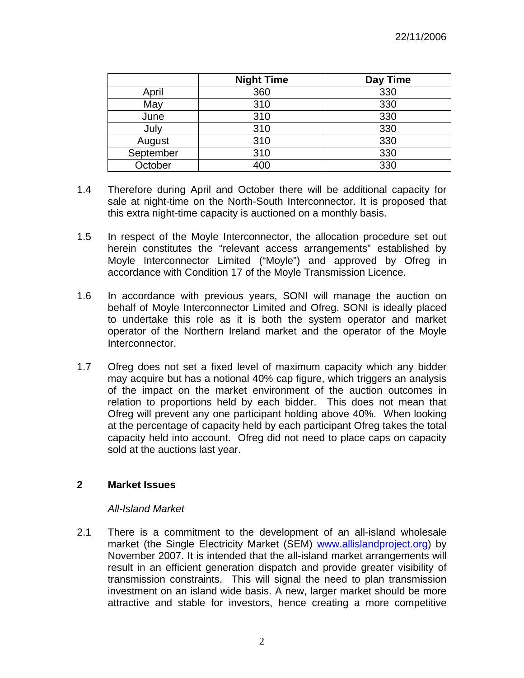|           | <b>Night Time</b> | Day Time |
|-----------|-------------------|----------|
| April     | 360               | 330      |
| May       | 310               | 330      |
| June      | 310               | 330      |
| July      | 310               | 330      |
| August    | 310               | 330      |
| September | 310               | 330      |
| October   | 400               | 330      |

- 1.4 Therefore during April and October there will be additional capacity for sale at night-time on the North-South Interconnector. It is proposed that this extra night-time capacity is auctioned on a monthly basis.
- 1.5 In respect of the Moyle Interconnector, the allocation procedure set out herein constitutes the "relevant access arrangements" established by Moyle Interconnector Limited ("Moyle") and approved by Ofreg in accordance with Condition 17 of the Moyle Transmission Licence.
- 1.6 In accordance with previous years, SONI will manage the auction on behalf of Moyle Interconnector Limited and Ofreg. SONI is ideally placed to undertake this role as it is both the system operator and market operator of the Northern Ireland market and the operator of the Moyle Interconnector.
- 1.7 Ofreg does not set a fixed level of maximum capacity which any bidder may acquire but has a notional 40% cap figure, which triggers an analysis of the impact on the market environment of the auction outcomes in relation to proportions held by each bidder. This does not mean that Ofreg will prevent any one participant holding above 40%. When looking at the percentage of capacity held by each participant Ofreg takes the total capacity held into account. Ofreg did not need to place caps on capacity sold at the auctions last year.

## **2 Market Issues**

## *All-Island Market*

2.1 There is a commitment to the development of an all-island wholesale market (the Single Electricity Market (SEM) www.allislandproject.org) by November 2007. It is intended that the all-island market arrangements will result in an efficient generation dispatch and provide greater visibility of transmission constraints. This will signal the need to plan transmission investment on an island wide basis. A new, larger market should be more attractive and stable for investors, hence creating a more competitive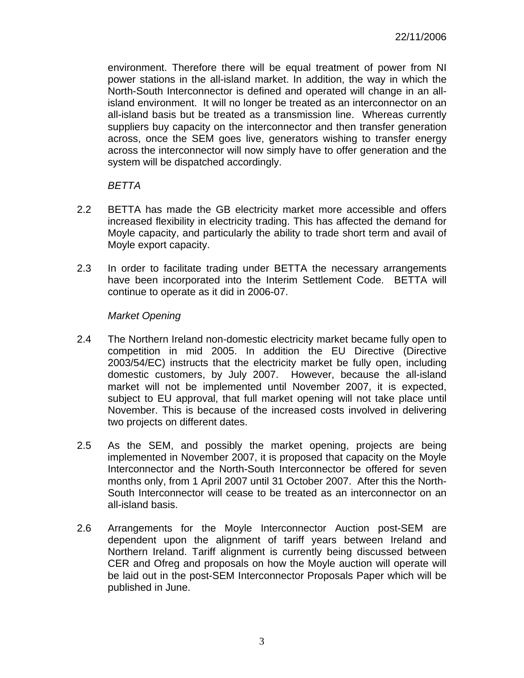environment. Therefore there will be equal treatment of power from NI power stations in the all-island market. In addition, the way in which the North-South Interconnector is defined and operated will change in an allisland environment. It will no longer be treated as an interconnector on an all-island basis but be treated as a transmission line. Whereas currently suppliers buy capacity on the interconnector and then transfer generation across, once the SEM goes live, generators wishing to transfer energy across the interconnector will now simply have to offer generation and the system will be dispatched accordingly.

#### *BETTA*

- 2.2 BETTA has made the GB electricity market more accessible and offers increased flexibility in electricity trading. This has affected the demand for Moyle capacity, and particularly the ability to trade short term and avail of Moyle export capacity.
- 2.3 In order to facilitate trading under BETTA the necessary arrangements have been incorporated into the Interim Settlement Code. BETTA will continue to operate as it did in 2006-07.

#### *Market Opening*

- 2.4 The Northern Ireland non-domestic electricity market became fully open to competition in mid 2005. In addition the EU Directive (Directive 2003/54/EC) instructs that the electricity market be fully open, including domestic customers, by July 2007. However, because the all-island market will not be implemented until November 2007, it is expected, subject to EU approval, that full market opening will not take place until November. This is because of the increased costs involved in delivering two projects on different dates.
- 2.5 As the SEM, and possibly the market opening, projects are being implemented in November 2007, it is proposed that capacity on the Moyle Interconnector and the North-South Interconnector be offered for seven months only, from 1 April 2007 until 31 October 2007. After this the North-South Interconnector will cease to be treated as an interconnector on an all-island basis.
- 2.6 Arrangements for the Moyle Interconnector Auction post-SEM are dependent upon the alignment of tariff years between Ireland and Northern Ireland. Tariff alignment is currently being discussed between CER and Ofreg and proposals on how the Moyle auction will operate will be laid out in the post-SEM Interconnector Proposals Paper which will be published in June.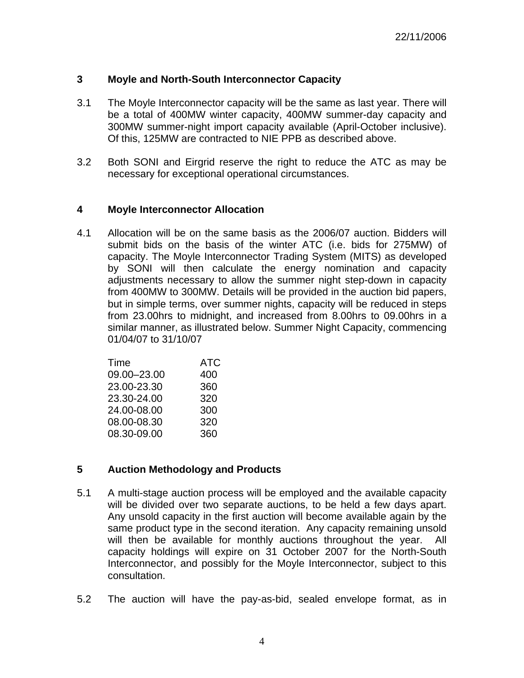## **3 Moyle and North-South Interconnector Capacity**

- 3.1 The Moyle Interconnector capacity will be the same as last year. There will be a total of 400MW winter capacity, 400MW summer-day capacity and 300MW summer-night import capacity available (April-October inclusive). Of this, 125MW are contracted to NIE PPB as described above.
- 3.2 Both SONI and Eirgrid reserve the right to reduce the ATC as may be necessary for exceptional operational circumstances.

## **4 Moyle Interconnector Allocation**

4.1 Allocation will be on the same basis as the 2006/07 auction. Bidders will submit bids on the basis of the winter ATC (i.e. bids for 275MW) of capacity. The Moyle Interconnector Trading System (MITS) as developed by SONI will then calculate the energy nomination and capacity adjustments necessary to allow the summer night step-down in capacity from 400MW to 300MW. Details will be provided in the auction bid papers, but in simple terms, over summer nights, capacity will be reduced in steps from 23.00hrs to midnight, and increased from 8.00hrs to 09.00hrs in a similar manner, as illustrated below. Summer Night Capacity, commencing 01/04/07 to 31/10/07

| Time        | ATC |
|-------------|-----|
| 09.00-23.00 | 400 |
| 23.00-23.30 | 360 |
| 23.30-24.00 | 320 |
| 24.00-08.00 | 300 |
| 08.00-08.30 | 320 |
| 08.30-09.00 | 360 |
|             |     |

## **5 Auction Methodology and Products**

- 5.1 A multi-stage auction process will be employed and the available capacity will be divided over two separate auctions, to be held a few days apart. Any unsold capacity in the first auction will become available again by the same product type in the second iteration. Any capacity remaining unsold will then be available for monthly auctions throughout the year. All capacity holdings will expire on 31 October 2007 for the North-South Interconnector, and possibly for the Moyle Interconnector, subject to this consultation.
- 5.2 The auction will have the pay-as-bid, sealed envelope format, as in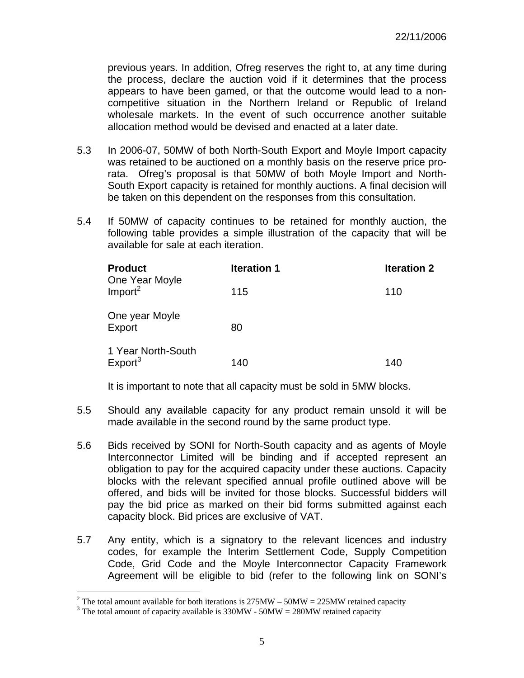previous years. In addition, Ofreg reserves the right to, at any time during the process, declare the auction void if it determines that the process appears to have been gamed, or that the outcome would lead to a noncompetitive situation in the Northern Ireland or Republic of Ireland wholesale markets. In the event of such occurrence another suitable allocation method would be devised and enacted at a later date.

- 5.3 In 2006-07, 50MW of both North-South Export and Moyle Import capacity was retained to be auctioned on a monthly basis on the reserve price prorata. Ofreg's proposal is that 50MW of both Moyle Import and North-South Export capacity is retained for monthly auctions. A final decision will be taken on this dependent on the responses from this consultation.
- 5.4 If 50MW of capacity continues to be retained for monthly auction, the following table provides a simple illustration of the capacity that will be available for sale at each iteration.

| <b>Product</b><br>One Year Moyle          | <b>Iteration 1</b> | <b>Iteration 2</b> |
|-------------------------------------------|--------------------|--------------------|
| Import <sup>2</sup>                       | 115                | 110                |
| One year Moyle<br>Export                  | 80                 |                    |
| 1 Year North-South<br>Export <sup>3</sup> | 140                | 140                |

It is important to note that all capacity must be sold in 5MW blocks.

- 5.5 Should any available capacity for any product remain unsold it will be made available in the second round by the same product type.
- 5.6 Bids received by SONI for North-South capacity and as agents of Moyle Interconnector Limited will be binding and if accepted represent an obligation to pay for the acquired capacity under these auctions. Capacity blocks with the relevant specified annual profile outlined above will be offered, and bids will be invited for those blocks. Successful bidders will pay the bid price as marked on their bid forms submitted against each capacity block. Bid prices are exclusive of VAT.
- 5.7 Any entity, which is a signatory to the relevant licences and industry codes, for example the Interim Settlement Code, Supply Competition Code, Grid Code and the Moyle Interconnector Capacity Framework Agreement will be eligible to bid (refer to the following link on SONI's

<sup>&</sup>lt;sup>2</sup> The total amount available for both iterations is 275MW – 50MW = 225MW retained capacity

<sup>&</sup>lt;sup>3</sup> The total amount of capacity available is  $330MW - 50MW = 280MW$  retained capacity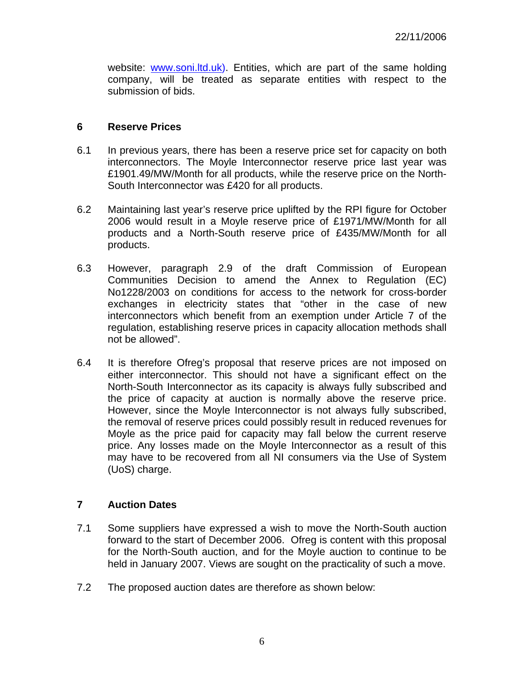website: www.soni.ltd.uk). Entities, which are part of the same holding company, will be treated as separate entities with respect to the submission of bids.

#### **6 Reserve Prices**

- 6.1 In previous years, there has been a reserve price set for capacity on both interconnectors. The Moyle Interconnector reserve price last year was £1901.49/MW/Month for all products, while the reserve price on the North-South Interconnector was £420 for all products.
- 6.2 Maintaining last year's reserve price uplifted by the RPI figure for October 2006 would result in a Moyle reserve price of £1971/MW/Month for all products and a North-South reserve price of £435/MW/Month for all products.
- 6.3 However, paragraph 2.9 of the draft Commission of European Communities Decision to amend the Annex to Regulation (EC) No1228/2003 on conditions for access to the network for cross-border exchanges in electricity states that "other in the case of new interconnectors which benefit from an exemption under Article 7 of the regulation, establishing reserve prices in capacity allocation methods shall not be allowed".
- 6.4 It is therefore Ofreg's proposal that reserve prices are not imposed on either interconnector. This should not have a significant effect on the North-South Interconnector as its capacity is always fully subscribed and the price of capacity at auction is normally above the reserve price. However, since the Moyle Interconnector is not always fully subscribed, the removal of reserve prices could possibly result in reduced revenues for Moyle as the price paid for capacity may fall below the current reserve price. Any losses made on the Moyle Interconnector as a result of this may have to be recovered from all NI consumers via the Use of System (UoS) charge.

## **7 Auction Dates**

- 7.1 Some suppliers have expressed a wish to move the North-South auction forward to the start of December 2006. Ofreg is content with this proposal for the North-South auction, and for the Moyle auction to continue to be held in January 2007. Views are sought on the practicality of such a move.
- 7.2 The proposed auction dates are therefore as shown below: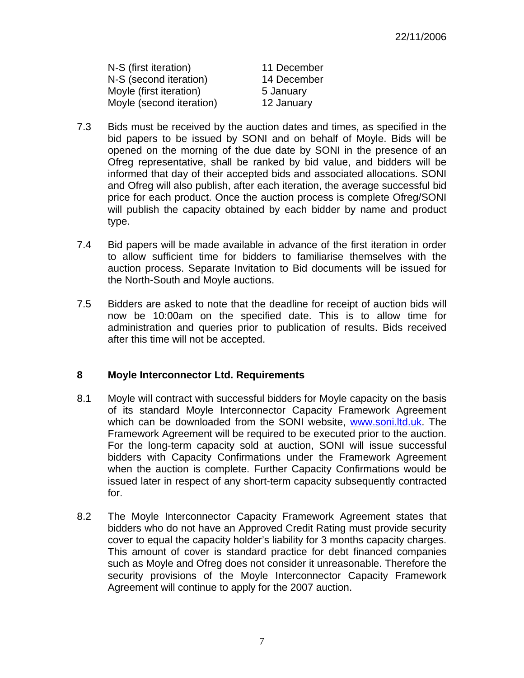| N-S (first iteration)    | 11 December |
|--------------------------|-------------|
| N-S (second iteration)   | 14 December |
| Moyle (first iteration)  | 5 January   |
| Moyle (second iteration) | 12 January  |

- 7.3 Bids must be received by the auction dates and times, as specified in the bid papers to be issued by SONI and on behalf of Moyle. Bids will be opened on the morning of the due date by SONI in the presence of an Ofreg representative, shall be ranked by bid value, and bidders will be informed that day of their accepted bids and associated allocations. SONI and Ofreg will also publish, after each iteration, the average successful bid price for each product. Once the auction process is complete Ofreg/SONI will publish the capacity obtained by each bidder by name and product type.
- 7.4 Bid papers will be made available in advance of the first iteration in order to allow sufficient time for bidders to familiarise themselves with the auction process. Separate Invitation to Bid documents will be issued for the North-South and Moyle auctions.
- 7.5 Bidders are asked to note that the deadline for receipt of auction bids will now be 10:00am on the specified date. This is to allow time for administration and queries prior to publication of results. Bids received after this time will not be accepted.

## **8 Moyle Interconnector Ltd. Requirements**

- 8.1 Moyle will contract with successful bidders for Moyle capacity on the basis of its standard Moyle Interconnector Capacity Framework Agreement which can be downloaded from the SONI website, www.soni.ltd.uk. The Framework Agreement will be required to be executed prior to the auction. For the long-term capacity sold at auction, SONI will issue successful bidders with Capacity Confirmations under the Framework Agreement when the auction is complete. Further Capacity Confirmations would be issued later in respect of any short-term capacity subsequently contracted for.
- 8.2 The Moyle Interconnector Capacity Framework Agreement states that bidders who do not have an Approved Credit Rating must provide security cover to equal the capacity holder's liability for 3 months capacity charges. This amount of cover is standard practice for debt financed companies such as Moyle and Ofreg does not consider it unreasonable. Therefore the security provisions of the Moyle Interconnector Capacity Framework Agreement will continue to apply for the 2007 auction.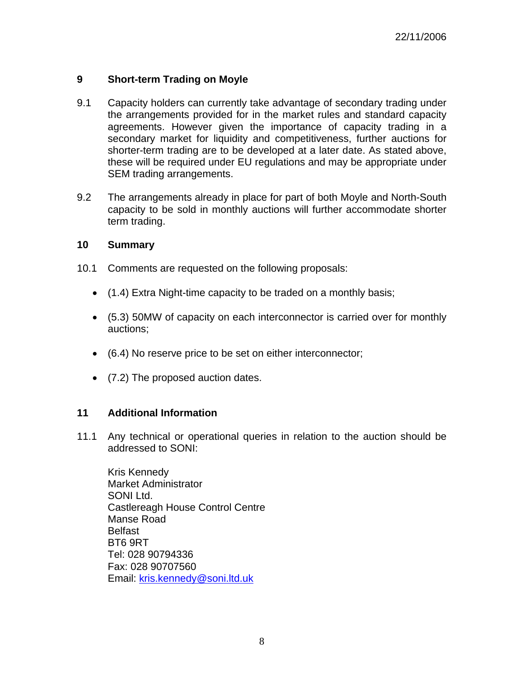# **9 Short-term Trading on Moyle**

- 9.1 Capacity holders can currently take advantage of secondary trading under the arrangements provided for in the market rules and standard capacity agreements. However given the importance of capacity trading in a secondary market for liquidity and competitiveness, further auctions for shorter-term trading are to be developed at a later date. As stated above, these will be required under EU regulations and may be appropriate under SEM trading arrangements.
- 9.2 The arrangements already in place for part of both Moyle and North-South capacity to be sold in monthly auctions will further accommodate shorter term trading.

#### **10 Summary**

- 10.1 Comments are requested on the following proposals:
	- (1.4) Extra Night-time capacity to be traded on a monthly basis;
	- (5.3) 50MW of capacity on each interconnector is carried over for monthly auctions;
	- (6.4) No reserve price to be set on either interconnector;
	- (7.2) The proposed auction dates.

## **11 Additional Information**

11.1 Any technical or operational queries in relation to the auction should be addressed to SONI:

Kris Kennedy Market Administrator SONI Ltd. Castlereagh House Control Centre Manse Road Belfast BT6 9RT Tel: 028 90794336 Fax: 028 90707560 Email: kris.kennedy@soni.ltd.uk